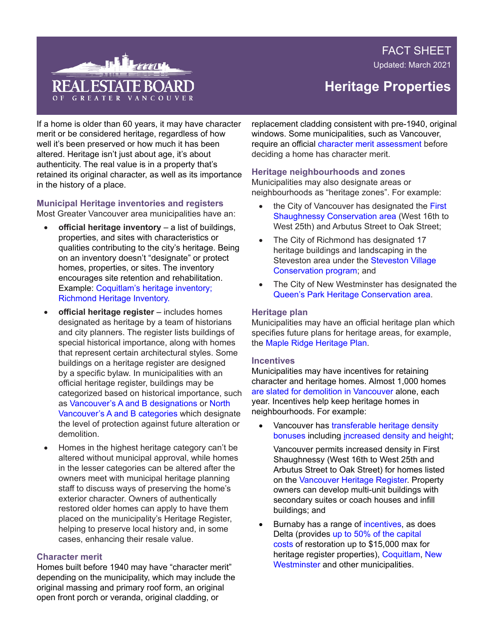FACT SHEET

Updated: March 2021



# **Heritage Properties**

If a home is older than 60 years, it may have character merit or be considered heritage, regardless of how well it's been preserved or how much it has been altered. Heritage isn't just about age, it's about authenticity. The real value is in a property that's retained its original character, as well as its importance in the history of a place.

#### **Municipal Heritage inventories and registers** Most Greater Vancouver area municipalities have an:

- **official heritage inventory** a list of buildings, properties, and sites with characteristics or qualities contributing to the city's heritage. Being on an inventory doesn't "designate" or protect homes, properties, or sites. The inventory encourages site retention and rehabilitation. Example: [Coquitlam's heritage inventory](https://www.coquitlam.ca/planning-and-development/resources/heritage/inventory.aspx); [Richmond Heritage Inventory.](https://www.richmond.ca/plandev/planning2/heritage/HeritageInv/default.aspx)
- **official heritage register** includes homes designated as heritage by a team of historians and city planners. The register lists buildings of special historical importance, along with homes that represent certain architectural styles. Some buildings on a heritage register are designed by a specific bylaw. In municipalities with an official heritage register, buildings may be categorized based on historical importance, such as [Vancouver's A and B designations](https://vancouver.ca/home-property-development/heritage-designation.aspx) or [North](https://www.cnv.org/property-and-development/building-and-development/heritage-sites/heritage-register-faqs)  [Vancouver's A and B categories](https://www.cnv.org/property-and-development/building-and-development/heritage-sites/heritage-register-faqs) which designate the level of protection against future alteration or demolition.
- Homes in the highest heritage category can't be altered without municipal approval, while homes in the lesser categories can be altered after the owners meet with municipal heritage planning staff to discuss ways of preserving the home's exterior character. Owners of authentically restored older homes can apply to have them placed on the municipality's Heritage Register, helping to preserve local history and, in some cases, enhancing their resale value.

### **Character merit**

Homes built before 1940 may have "character merit" depending on the municipality, which may include the original massing and primary roof form, an original open front porch or veranda, original cladding, or

replacement cladding consistent with pre-1940, original windows. Some municipalities, such as Vancouver, require an official [character merit assessment](https://vancouver.ca/home-property-development/character-merit-assessment.aspx) before deciding a home has character merit.

## **Heritage neighbourhoods and zones**

Municipalities may also designate areas or neighbourhoods as "heritage zones". For example:

- the City of Vancouver has designated the First [Shaughnessy Conservation area](https://council.vancouver.ca/20150721/documents/phea1-DraftBy-lawtoadoptaDevelopmentPlanregardingheritageconservationareasasanODP.pdf) (West 16th to West 25th) and Arbutus Street to Oak Street;
- The City of Richmond has designated 17 heritage buildings and landscaping in the Steveston area under the [Steveston Village](https://www.richmond.ca/__shared/assets/SVCS-attach222548.pdf)  [Conservation program;](https://www.richmond.ca/__shared/assets/SVCS-attach222548.pdf) and
- The City of New Westminster has designated the [Queen's Park Heritage Conservation area.](https://www.newwestcity.ca/heritage/queens-park-heritage-conservation-area)

# **Heritage plan**

Municipalities may have an official heritage plan which specifies future plans for heritage areas, for example, the [Maple Ridge Heritage Plan.](http://www.mapleridge.ca/DocumentCenter/View/2306/Heritage_Plan_website)

### **Incentives**

Municipalities may have incentives for retaining character and heritage homes. Almost 1,000 homes [are slated for demolition in Vancouver](https://archive.nationaltrustcanada.ca/issues-campaigns/top-ten-endangered/explore-past-listings/british-columbia/vancouver-west-side-chara) alone, each year. Incentives help keep heritage homes in neighbourhoods. For example:

Vancouver has transferable heritage density [bonuses](https://vancouver.ca/home-property-development/density-incentives-for-developers.aspx) including [increased density and height;](https://council.vancouver.ca/previous_years/970729/p4.htm)

Vancouver permits increased density in First Shaughnessy (West 16th to West 25th and Arbutus Street to Oak Street) for homes listed on the [Vancouver Heritage Register.](http://vancouver.ca/home-property-development/find-a-registered-heritage-building-site-or-tree.aspx) Property owners can develop multi-unit buildings with secondary suites or coach houses and infill buildings; and

• Burnaby has a range of [incentives, a](https://www.burnaby.ca/City-Services/Planning/Heritage-Planning/Heritage-Planning-Program.html?PageMode=Print)s does Delta (provides [up to 50% of the capital](https://heritagebc.ca/learning-centre/heritage-designation-a-resource-guide/incentives/)  [costs](https://heritagebc.ca/learning-centre/heritage-designation-a-resource-guide/incentives/) of restoration up to \$15,000 max for heritage register properties), [Coquitlam](https://www.coquitlam.ca/DocumentCenter/View/700/Heritage-Legislative-Framework-PDF), [New](https://www.newwestcity.ca/heritage/queens-park-heritage-conservation-area/ongoing-work-in-the-hca/sb_expander_articles/1258.php)  [Westminster](https://www.newwestcity.ca/heritage/queens-park-heritage-conservation-area/ongoing-work-in-the-hca/sb_expander_articles/1258.php) and other municipalities.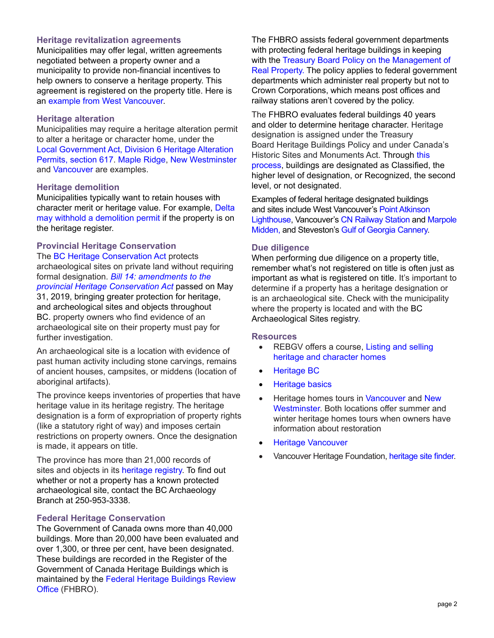# **Heritage revitalization agreements**

Municipalities may offer legal, written agreements negotiated between a property owner and a municipality to provide non-financial incentives to help owners to conserve a heritage property. This agreement is registered on the property title. Here is an [example from West Vancouver](https://westvancouver.ca/sites/default/files/dwv/assets/home-building-property/docs/Planning/heritage-registry/DWV-%23938986-v1-4813_HERITAGE_REVITALIZATION_AGREEMENT_BYLAW_4813_2015_for_2055_QUEENS_AVENUE%29.pdf).

### **Heritage alteration**

Municipalities may require a heritage alteration permit to alter a heritage or character home, under the [Local Government Act, Division 6 Heritage Alteration](https://www.bclaws.gov.bc.ca/civix/document/id/lc/statreg/r15001_15)  [Permits, section 617.](https://www.bclaws.gov.bc.ca/civix/document/id/lc/statreg/r15001_15) [Maple Ridge](https://www.mapleridge.ca/780/Heritage-Bylaws), [New Westminster](https://www.newwestcity.ca/heritage/heritage-protection-and-development/sb_expander_articles/1626.php) and [Vancouver](https://bylaws.vancouver.ca/heritage11350/HeritageProcedureBylaw11350.pdf) are examples.

#### **Heritage demolition**

Municipalities typically want to retain houses with character merit or heritage value. For example, [Delta](https://delta.civicweb.net/filepro/documents/29754?preview=135294)  [may withhold a demolition permit](https://delta.civicweb.net/filepro/documents/29754?preview=135294) if the property is on the heritage register.

#### **Provincial Heritage Conservation**

The [BC Heritage Conservation Act](http://www.bclaws.ca/civix/document/id/complete/statreg/96187_01) protects archaeological sites on private land without requiring formal designation. *[Bill 14: amendments to the](https://www.leg.bc.ca/parliamentary-business/legislation-debates-proceedings/41st-parliament/4th-session/bills/progress-of-bills)  [provincial Heritage Conservation Act](https://www.leg.bc.ca/parliamentary-business/legislation-debates-proceedings/41st-parliament/4th-session/bills/progress-of-bills)* passed on May 31, 2019, bringing greater protection for heritage, and archeological sites and objects throughout BC. property owners who find evidence of an archaeological site on their property must pay for further investigation.

An archaeological site is a location with evidence of past human activity including stone carvings, remains of ancient houses, campsites, or middens (location of aboriginal artifacts).

The province keeps inventories of properties that have heritage value in its heritage registry. The heritage designation is a form of expropriation of property rights (like a statutory right of way) and imposes certain restrictions on property owners. Once the designation is made, it appears on title.

The province has more than 21,000 records of sites and objects in its [heritage registry.](https://governmentofbc.maps.arcgis.com/apps/webappviewer/index.html?id=4926e2fd04b6484ba47c3a8cd14202a0) To find out whether or not a property has a known protected archaeological site, contact the BC Archaeology Branch at 250-953-3338.

### **Federal Heritage Conservation**

The Government of Canada owns more than 40,000 buildings. More than 20,000 have been evaluated and over 1,300, or three per cent, have been designated. These buildings are recorded in the Register of the Government of Canada Heritage Buildings which is maintained by the [Federal Heritage Buildings Review](https://www.pc.gc.ca/en/culture/beefp-fhbro/)  [Office](https://www.pc.gc.ca/en/culture/beefp-fhbro/) (FHBRO).

The FHBRO assists federal government departments with protecting federal heritage buildings in keeping with the [Treasury Board Policy on the Management of](https://www.tbs-sct.gc.ca/pol/doc-eng.aspx?id=12042)  [Real Property.](https://www.tbs-sct.gc.ca/pol/doc-eng.aspx?id=12042) The policy applies to federal government departments which administer real property but not to Crown Corporations, which means post offices and railway stations aren't covered by the policy.

The FHBRO evaluates federal buildings 40 years and older to determine heritage character. Heritage designation is assigned under the Treasury Board Heritage Buildings Policy and under Canada's Historic Sites and Monuments Act. Through [this](https://www.pc.gc.ca/en/culture/beefp-fhbro/process/evaluation)  [process](https://www.pc.gc.ca/en/culture/beefp-fhbro/process/evaluation), buildings are designated as Classified, the higher level of designation, or Recognized, the second level, or not designated.

Examples of federal heritage designated buildings and sites include West Vancouver's [Point Atkinson](https://www.pc.gc.ca/apps/dfhd/page_nhs_eng.aspx?id=87)  [Lighthouse,](https://www.pc.gc.ca/apps/dfhd/page_nhs_eng.aspx?id=87) Vancouver's [CN Railway Station](https://www.pc.gc.ca/apps/dfhd/page_hrs_eng.aspx?id=2042) and [Marpole](https://www.pc.gc.ca/apps/dfhd/page_nhs_eng.aspx?id=81) [Midden,](https://www.pc.gc.ca/apps/dfhd/page_nhs_eng.aspx?id=81) and Steveston's [Gulf of Georgia Cannery.](https://www.pc.gc.ca/apps/dfhd/page_nhs_eng.aspx?id=77)

### **Due diligence**

When performing due diligence on a property title, remember what's not registered on title is often just as important as what is registered on title. It's important to determine if a property has a heritage designation or is an archaeological site. Check with the municipality where the property is located and with the BC Archaeological Sites registry.

#### **Resources**

- REBGV offers a course, Listing and selling [heritage and character homes](https://www.rebgv.ca/content/rebgv/en/Education-and-Technology-Support/Courses-and-Events/herhom.html)
- • [Heritage BC](https://www2.gov.bc.ca/gov/content/governments/celebrating-british-columbia/historic-places)
- • [Heritage basics](http://www.vancouverheritagefoundation.org/learn-with-us/heritage-basics-faqs/)
- Heritage homes tours in [Vancouver](http://www.vancouverheritagefoundation.org/attend-an-event/house-tours/heritage-house-tour/) and New [Westminster](http://newwestheritage.org/). Both locations offer summer and winter heritage homes tours when owners have information about restoration
- • [Heritage Vancouver](http://heritagevancouver.org/)
- Vancouver Heritage Foundation, [heritage site finder](https://www.heritagesitefinder.ca/).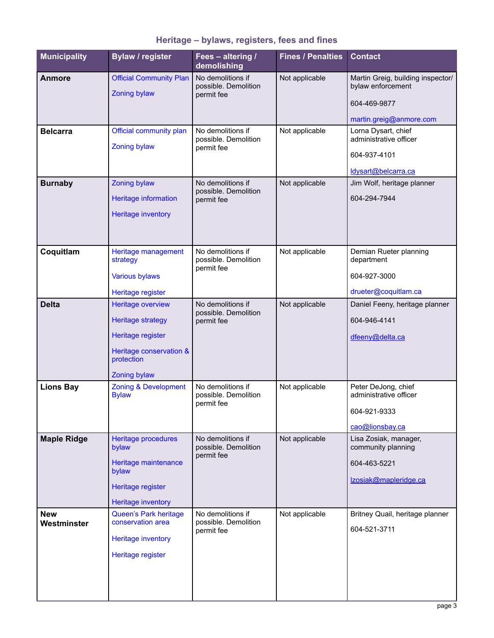| <b>Municipality</b>       | <b>Bylaw / register</b>                                                                                                            | Fees - altering /<br>demolishing                        | <b>Fines / Penalties</b> | <b>Contact</b>                                                                                    |
|---------------------------|------------------------------------------------------------------------------------------------------------------------------------|---------------------------------------------------------|--------------------------|---------------------------------------------------------------------------------------------------|
| <b>Anmore</b>             | <b>Official Community Plan</b><br><b>Zoning bylaw</b>                                                                              | No demolitions if<br>possible. Demolition<br>permit fee | Not applicable           | Martin Greig, building inspector/<br>bylaw enforcement<br>604-469-9877<br>martin.greig@anmore.com |
| <b>Belcarra</b>           | Official community plan<br><b>Zoning bylaw</b>                                                                                     | No demolitions if<br>possible. Demolition<br>permit fee | Not applicable           | Lorna Dysart, chief<br>administrative officer<br>604-937-4101<br>ldysart@belcarra.ca              |
| <b>Burnaby</b>            | <b>Zoning bylaw</b><br>Heritage information<br><b>Heritage inventory</b>                                                           | No demolitions if<br>possible. Demolition<br>permit fee | Not applicable           | Jim Wolf, heritage planner<br>604-294-7944                                                        |
| Coquitlam                 | Heritage management<br>strategy<br><b>Various bylaws</b><br>Heritage register                                                      | No demolitions if<br>possible. Demolition<br>permit fee | Not applicable           | Demian Rueter planning<br>department<br>604-927-3000<br>drueter@coquitlam.ca                      |
| <b>Delta</b>              | Heritage overview<br><b>Heritage strategy</b><br>Heritage register<br>Heritage conservation &<br>protection<br><b>Zoning bylaw</b> | No demolitions if<br>possible. Demolition<br>permit fee | Not applicable           | Daniel Feeny, heritage planner<br>604-946-4141<br>dfeeny@delta.ca                                 |
| <b>Lions Bay</b>          | <b>Zoning &amp; Development</b><br><b>Bylaw</b>                                                                                    | No demolitions if<br>possible. Demolition<br>permit fee | Not applicable           | Peter DeJong, chief<br>administrative officer<br>604-921-9333<br>cao@lionsbay.ca                  |
| <b>Maple Ridge</b>        | Heritage procedures<br>bylaw<br>Heritage maintenance<br>bylaw<br>Heritage register<br><b>Heritage inventory</b>                    | No demolitions if<br>possible. Demolition<br>permit fee | Not applicable           | Lisa Zosiak, manager,<br>community planning<br>604-463-5221<br>Izosiak@mapleridge.ca              |
| <b>New</b><br>Westminster | <b>Queen's Park heritage</b><br>conservation area<br><b>Heritage inventory</b><br>Heritage register                                | No demolitions if<br>possible. Demolition<br>permit fee | Not applicable           | Britney Quail, heritage planner<br>604-521-3711                                                   |

# **Heritage – bylaws, registers, fees and fines**